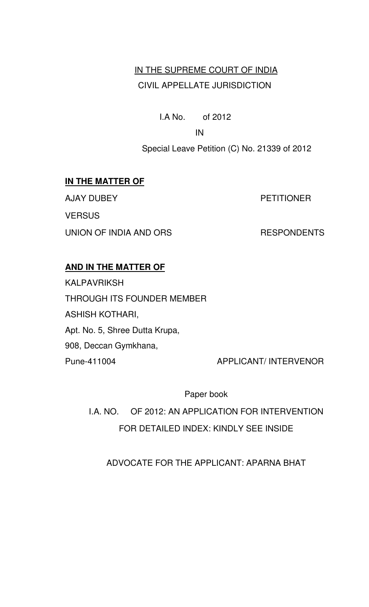## IN THE SUPREME COURT OF INDIA CIVIL APPELLATE JURISDICTION

I.A No. of 2012

**IN IN** 

Special Leave Petition (C) No. 21339 of 2012

#### **IN THE MATTER OF**

AJAY DUBEY PETITIONER **VERSUS** UNION OF INDIA AND ORS RESPONDENTS

#### **AND IN THE MATTER OF**

KALPAVRIKSH THROUGH ITS FOUNDER MEMBER ASHISH KOTHARI, Apt. No. 5, Shree Dutta Krupa, 908, Deccan Gymkhana, Pune-411004 APPLICANT/ INTERVENOR

Paper book

I.A. NO. OF 2012: AN APPLICATION FOR INTERVENTION FOR DETAILED INDEX: KINDLY SEE INSIDE

ADVOCATE FOR THE APPLICANT: APARNA BHAT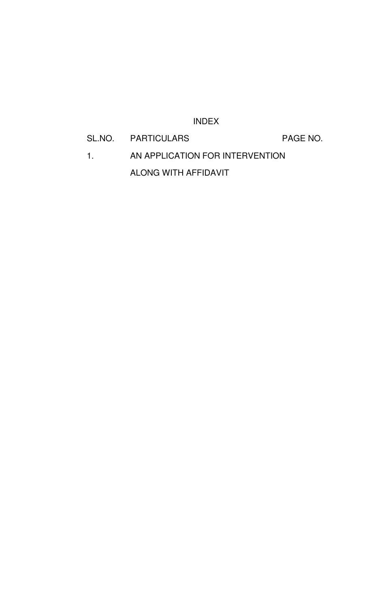#### INDEX

# SL.NO. PARTICULARS PAGE NO. 1. AN APPLICATION FOR INTERVENTION ALONG WITH AFFIDAVIT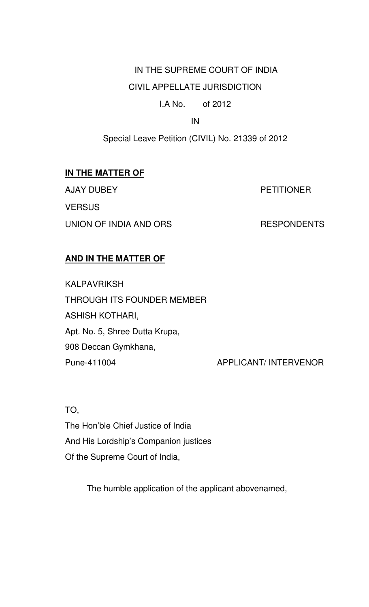# IN THE SUPREME COURT OF INDIA

# CIVIL APPELLATE JURISDICTION

#### I.A No. of 2012

IN

Special Leave Petition (CIVIL) No. 21339 of 2012

### **IN THE MATTER OF**

AJAY DUBEY PETITIONER **VERSUS** UNION OF INDIA AND ORS RESPONDENTS

### **AND IN THE MATTER OF**

KALPAVRIKSH THROUGH ITS FOUNDER MEMBER ASHISH KOTHARI, Apt. No. 5, Shree Dutta Krupa, 908 Deccan Gymkhana, Pune-411004 APPLICANT/ INTERVENOR

TO,

The Hon'ble Chief Justice of India And His Lordship's Companion justices Of the Supreme Court of India,

The humble application of the applicant abovenamed,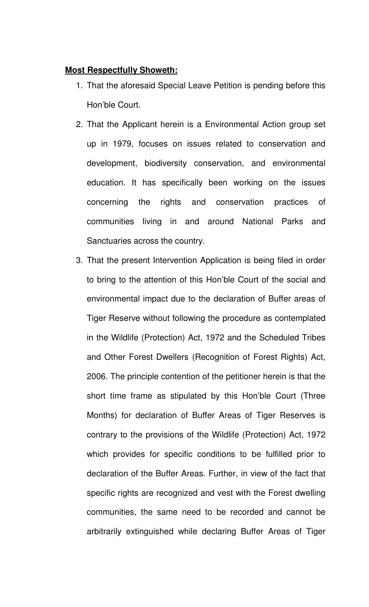#### **Most Respectfully Showeth:**

- 1. That the aforesaid Special Leave Petition is pending before this Hon'ble Court.
- 2. That the Applicant herein is a Environmental Action group set up in 1979, focuses on issues related to conservation and development, biodiversity conservation, and environmental education. It has specifically been working on the issues concerning the rights and conservation practices of communities living in and around National Parks and Sanctuaries across the country.
- 3. That the present Intervention Application is being filed in order to bring to the attention of this Hon'ble Court of the social and environmental impact due to the declaration of Buffer areas of Tiger Reserve without following the procedure as contemplated in the Wildlife (Protection) Act, 1972 and the Scheduled Tribes and Other Forest Dwellers (Recognition of Forest Rights) Act, 2006. The principle contention of the petitioner herein is that the short time frame as stipulated by this Hon'ble Court (Three Months) for declaration of Buffer Areas of Tiger Reserves is contrary to the provisions of the Wildlife (Protection) Act, 1972 which provides for specific conditions to be fulfilled prior to declaration of the Buffer Areas. Further, in view of the fact that specific rights are recognized and vest with the Forest dwelling communities, the same need to be recorded and cannot be arbitrarily extinguished while declaring Buffer Areas of Tiger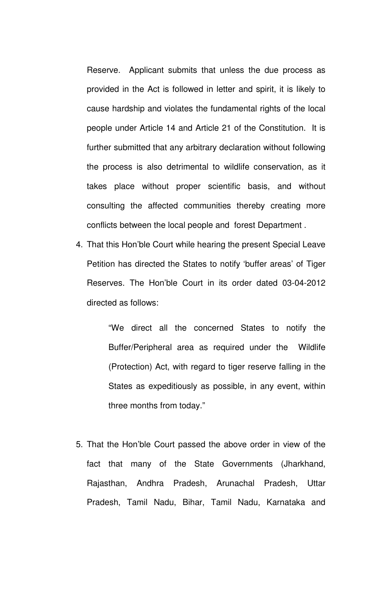Reserve. Applicant submits that unless the due process as provided in the Act is followed in letter and spirit, it is likely to cause hardship and violates the fundamental rights of the local people under Article 14 and Article 21 of the Constitution. It is further submitted that any arbitrary declaration without following the process is also detrimental to wildlife conservation, as it takes place without proper scientific basis, and without consulting the affected communities thereby creating more conflicts between the local people and forest Department .

4. That this Hon'ble Court while hearing the present Special Leave Petition has directed the States to notify 'buffer areas' of Tiger Reserves. The Hon'ble Court in its order dated 03-04-2012 directed as follows:

> "We direct all the concerned States to notify the Buffer/Peripheral area as required under the Wildlife (Protection) Act, with regard to tiger reserve falling in the States as expeditiously as possible, in any event, within three months from today."

5. That the Hon'ble Court passed the above order in view of the fact that many of the State Governments (Jharkhand, Rajasthan, Andhra Pradesh, Arunachal Pradesh, Uttar Pradesh, Tamil Nadu, Bihar, Tamil Nadu, Karnataka and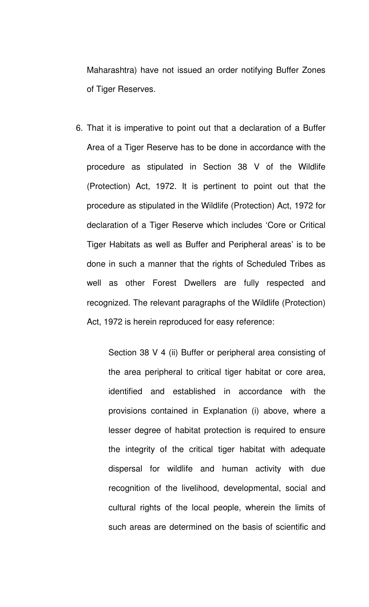Maharashtra) have not issued an order notifying Buffer Zones of Tiger Reserves.

6. That it is imperative to point out that a declaration of a Buffer Area of a Tiger Reserve has to be done in accordance with the procedure as stipulated in Section 38 V of the Wildlife (Protection) Act, 1972. It is pertinent to point out that the procedure as stipulated in the Wildlife (Protection) Act, 1972 for declaration of a Tiger Reserve which includes 'Core or Critical Tiger Habitats as well as Buffer and Peripheral areas' is to be done in such a manner that the rights of Scheduled Tribes as well as other Forest Dwellers are fully respected and recognized. The relevant paragraphs of the Wildlife (Protection) Act, 1972 is herein reproduced for easy reference:

> Section 38 V 4 (ii) Buffer or peripheral area consisting of the area peripheral to critical tiger habitat or core area, identified and established in accordance with the provisions contained in Explanation (i) above, where a lesser degree of habitat protection is required to ensure the integrity of the critical tiger habitat with adequate dispersal for wildlife and human activity with due recognition of the livelihood, developmental, social and cultural rights of the local people, wherein the limits of such areas are determined on the basis of scientific and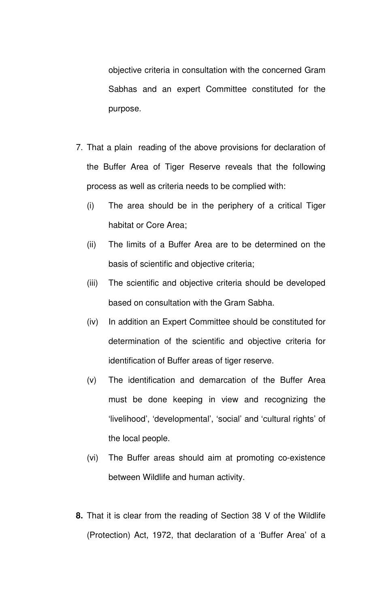objective criteria in consultation with the concerned Gram Sabhas and an expert Committee constituted for the purpose.

- 7. That a plain reading of the above provisions for declaration of the Buffer Area of Tiger Reserve reveals that the following process as well as criteria needs to be complied with:
	- (i) The area should be in the periphery of a critical Tiger habitat or Core Area;
	- (ii) The limits of a Buffer Area are to be determined on the basis of scientific and objective criteria;
	- (iii) The scientific and objective criteria should be developed based on consultation with the Gram Sabha.
	- (iv) In addition an Expert Committee should be constituted for determination of the scientific and objective criteria for identification of Buffer areas of tiger reserve.
	- (v) The identification and demarcation of the Buffer Area must be done keeping in view and recognizing the 'livelihood', 'developmental', 'social' and 'cultural rights' of the local people.
	- (vi) The Buffer areas should aim at promoting co-existence between Wildlife and human activity.
- **8.** That it is clear from the reading of Section 38 V of the Wildlife (Protection) Act, 1972, that declaration of a 'Buffer Area' of a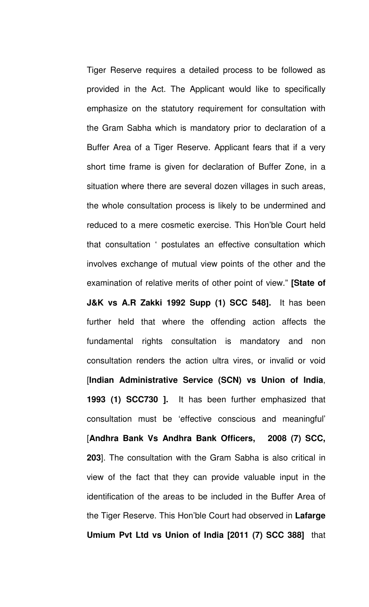Tiger Reserve requires a detailed process to be followed as provided in the Act. The Applicant would like to specifically emphasize on the statutory requirement for consultation with the Gram Sabha which is mandatory prior to declaration of a Buffer Area of a Tiger Reserve. Applicant fears that if a very short time frame is given for declaration of Buffer Zone, in a situation where there are several dozen villages in such areas, the whole consultation process is likely to be undermined and reduced to a mere cosmetic exercise. This Hon'ble Court held that consultation ' postulates an effective consultation which involves exchange of mutual view points of the other and the examination of relative merits of other point of view." **[State of J&K vs A.R Zakki 1992 Supp (1) SCC 548].** It has been further held that where the offending action affects the fundamental rights consultation is mandatory and non consultation renders the action ultra vires, or invalid or void [**Indian Administrative Service (SCN) vs Union of India**, **1993 (1) SCC730 ].** It has been further emphasized that consultation must be 'effective conscious and meaningful' [**Andhra Bank Vs Andhra Bank Officers, 2008 (7) SCC, 203**]. The consultation with the Gram Sabha is also critical in view of the fact that they can provide valuable input in the identification of the areas to be included in the Buffer Area of the Tiger Reserve. This Hon'ble Court had observed in **Lafarge Umium Pvt Ltd vs Union of India [2011 (7) SCC 388]** that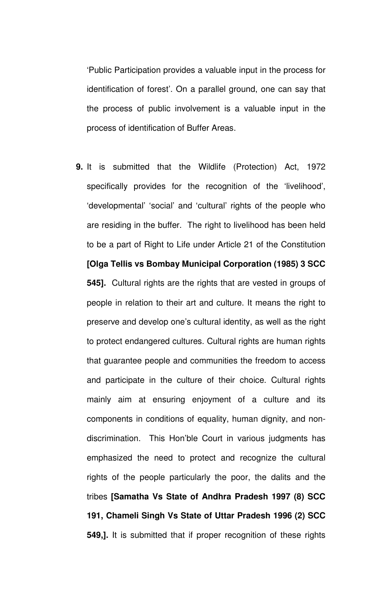'Public Participation provides a valuable input in the process for identification of forest'. On a parallel ground, one can say that the process of public involvement is a valuable input in the process of identification of Buffer Areas.

**9.** It is submitted that the Wildlife (Protection) Act, 1972 specifically provides for the recognition of the 'livelihood', 'developmental' 'social' and 'cultural' rights of the people who are residing in the buffer. The right to livelihood has been held to be a part of Right to Life under Article 21 of the Constitution **[Olga Tellis vs Bombay Municipal Corporation (1985) 3 SCC 545].** Cultural rights are the rights that are vested in groups of people in relation to their art and culture. It means the right to preserve and develop one's cultural identity, as well as the right to protect endangered cultures. Cultural rights are human rights that guarantee people and communities the freedom to access and participate in the culture of their choice. Cultural rights mainly aim at ensuring enjoyment of a culture and its components in conditions of equality, human dignity, and nondiscrimination. This Hon'ble Court in various judgments has emphasized the need to protect and recognize the cultural rights of the people particularly the poor, the dalits and the tribes **[Samatha Vs State of Andhra Pradesh 1997 (8) SCC 191, Chameli Singh Vs State of Uttar Pradesh 1996 (2) SCC 549,].** It is submitted that if proper recognition of these rights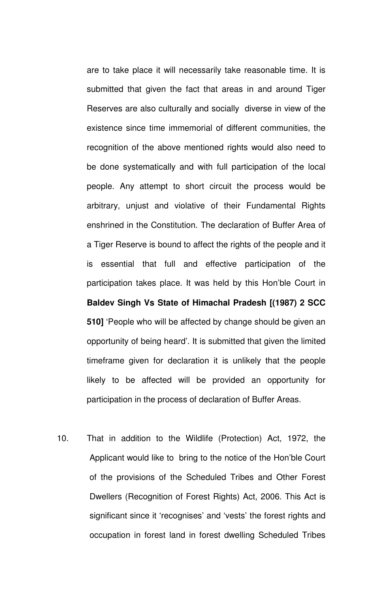are to take place it will necessarily take reasonable time. It is submitted that given the fact that areas in and around Tiger Reserves are also culturally and socially diverse in view of the existence since time immemorial of different communities, the recognition of the above mentioned rights would also need to be done systematically and with full participation of the local people. Any attempt to short circuit the process would be arbitrary, unjust and violative of their Fundamental Rights enshrined in the Constitution. The declaration of Buffer Area of a Tiger Reserve is bound to affect the rights of the people and it is essential that full and effective participation of the participation takes place. It was held by this Hon'ble Court in **Baldev Singh Vs State of Himachal Pradesh [(1987) 2 SCC 510]** 'People who will be affected by change should be given an opportunity of being heard'. It is submitted that given the limited timeframe given for declaration it is unlikely that the people likely to be affected will be provided an opportunity for participation in the process of declaration of Buffer Areas.

10. That in addition to the Wildlife (Protection) Act, 1972, the Applicant would like to bring to the notice of the Hon'ble Court of the provisions of the Scheduled Tribes and Other Forest Dwellers (Recognition of Forest Rights) Act, 2006. This Act is significant since it 'recognises' and 'vests' the forest rights and occupation in forest land in forest dwelling Scheduled Tribes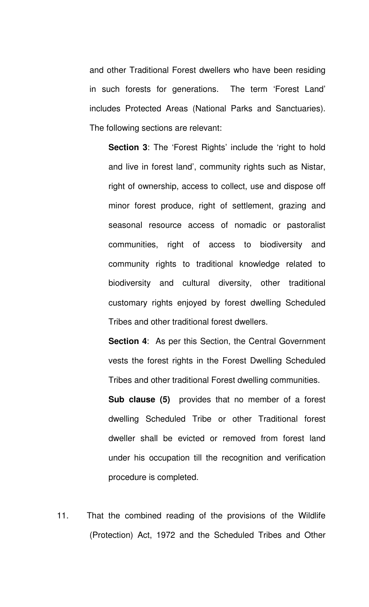and other Traditional Forest dwellers who have been residing in such forests for generations. The term 'Forest Land' includes Protected Areas (National Parks and Sanctuaries). The following sections are relevant:

**Section 3:** The 'Forest Rights' include the 'right to hold and live in forest land', community rights such as Nistar, right of ownership, access to collect, use and dispose off minor forest produce, right of settlement, grazing and seasonal resource access of nomadic or pastoralist communities, right of access to biodiversity and community rights to traditional knowledge related to biodiversity and cultural diversity, other traditional customary rights enjoyed by forest dwelling Scheduled Tribes and other traditional forest dwellers.

**Section 4:** As per this Section, the Central Government vests the forest rights in the Forest Dwelling Scheduled Tribes and other traditional Forest dwelling communities.

**Sub clause (5)** provides that no member of a forest dwelling Scheduled Tribe or other Traditional forest dweller shall be evicted or removed from forest land under his occupation till the recognition and verification procedure is completed.

11. That the combined reading of the provisions of the Wildlife (Protection) Act, 1972 and the Scheduled Tribes and Other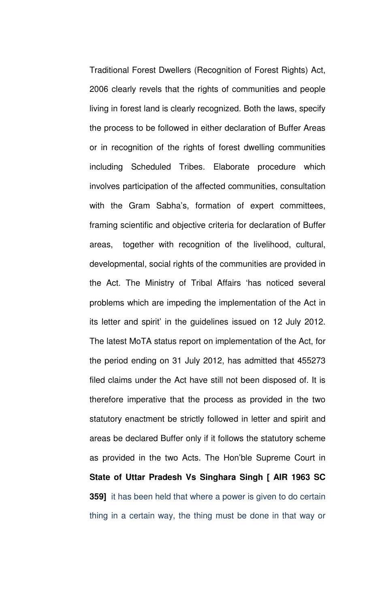Traditional Forest Dwellers (Recognition of Forest Rights) Act, 2006 clearly revels that the rights of communities and people living in forest land is clearly recognized. Both the laws, specify the process to be followed in either declaration of Buffer Areas or in recognition of the rights of forest dwelling communities including Scheduled Tribes. Elaborate procedure which involves participation of the affected communities, consultation with the Gram Sabha's, formation of expert committees, framing scientific and objective criteria for declaration of Buffer areas, together with recognition of the livelihood, cultural, developmental, social rights of the communities are provided in the Act. The Ministry of Tribal Affairs 'has noticed several problems which are impeding the implementation of the Act in its letter and spirit' in the guidelines issued on 12 July 2012. The latest MoTA status report on implementation of the Act, for the period ending on 31 July 2012, has admitted that 455273 filed claims under the Act have still not been disposed of. It is therefore imperative that the process as provided in the two statutory enactment be strictly followed in letter and spirit and areas be declared Buffer only if it follows the statutory scheme as provided in the two Acts. The Hon'ble Supreme Court in **State of Uttar Pradesh Vs Singhara Singh [ AIR 1963 SC 359]** it has been held that where a power is given to do certain thing in a certain way, the thing must be done in that way or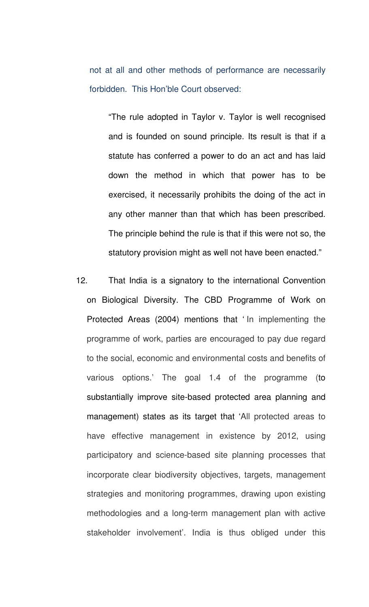not at all and other methods of performance are necessarily forbidden. This Hon'ble Court observed:

"The rule adopted in Taylor v. Taylor is well recognised and is founded on sound principle. Its result is that if a statute has conferred a power to do an act and has laid down the method in which that power has to be exercised, it necessarily prohibits the doing of the act in any other manner than that which has been prescribed. The principle behind the rule is that if this were not so, the statutory provision might as well not have been enacted."

12. That India is a signatory to the international Convention on Biological Diversity. The CBD Programme of Work on Protected Areas (2004) mentions that ' In implementing the programme of work, parties are encouraged to pay due regard to the social, economic and environmental costs and benefits of various options.' The goal 1.4 of the programme (to substantially improve site-based protected area planning and management) states as its target that 'All protected areas to have effective management in existence by 2012, using participatory and science-based site planning processes that incorporate clear biodiversity objectives, targets, management strategies and monitoring programmes, drawing upon existing methodologies and a long-term management plan with active stakeholder involvement'. India is thus obliged under this